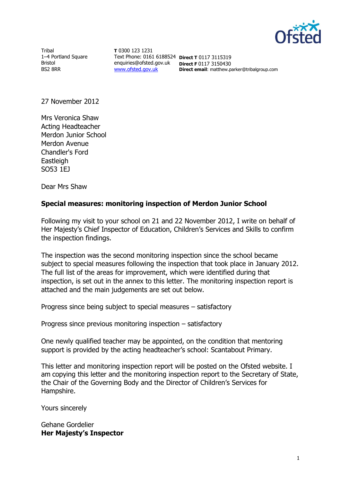

**Tribal** 1–4 Portland Square Bristol BS2 8RR

**T** 0300 123 1231 Text Phone: 0161 6188524 **Direct T** 0117 3115319 enquiries@ofsted.gov.uk **Direct F** 0117 3150430 [www.ofsted.gov.uk](http://www.ofsted.gov.uk/)

**Direct email**: matthew.parker@tribalgroup.com

27 November 2012

Mrs Veronica Shaw Acting Headteacher Merdon Junior School Merdon Avenue Chandler's Ford **Eastleigh** SO53 1EJ

Dear Mrs Shaw

## **Special measures: monitoring inspection of Merdon Junior School**

Following my visit to your school on 21 and 22 November 2012, I write on behalf of Her Majesty's Chief Inspector of Education, Children's Services and Skills to confirm the inspection findings.

The inspection was the second monitoring inspection since the school became subject to special measures following the inspection that took place in January 2012. The full list of the areas for improvement, which were identified during that inspection, is set out in the annex to this letter. The monitoring inspection report is attached and the main judgements are set out below.

Progress since being subject to special measures – satisfactory

Progress since previous monitoring inspection – satisfactory

One newly qualified teacher may be appointed, on the condition that mentoring support is provided by the acting headteacher's school: Scantabout Primary.

This letter and monitoring inspection report will be posted on the Ofsted website. I am copying this letter and the monitoring inspection report to the Secretary of State, the Chair of the Governing Body and the Director of Children's Services for Hampshire.

Yours sincerely

Gehane Gordelier **Her Majesty's Inspector**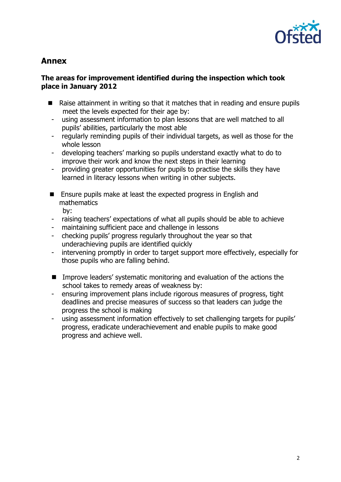

# **Annex**

## **The areas for improvement identified during the inspection which took place in January 2012**

- Raise attainment in writing so that it matches that in reading and ensure pupils meet the levels expected for their age by:
	- using assessment information to plan lessons that are well matched to all pupils' abilities, particularly the most able
	- regularly reminding pupils of their individual targets, as well as those for the whole lesson
	- developing teachers' marking so pupils understand exactly what to do to improve their work and know the next steps in their learning
	- providing greater opportunities for pupils to practise the skills they have learned in literacy lessons when writing in other subjects.
- **E** Ensure pupils make at least the expected progress in English and mathematics
	- by:
- raising teachers' expectations of what all pupils should be able to achieve
- maintaining sufficient pace and challenge in lessons
- checking pupils' progress regularly throughout the year so that underachieving pupils are identified quickly
- intervening promptly in order to target support more effectively, especially for those pupils who are falling behind.
- Improve leaders' systematic monitoring and evaluation of the actions the school takes to remedy areas of weakness by:
- ensuring improvement plans include rigorous measures of progress, tight deadlines and precise measures of success so that leaders can judge the progress the school is making
- using assessment information effectively to set challenging targets for pupils' progress, eradicate underachievement and enable pupils to make good progress and achieve well.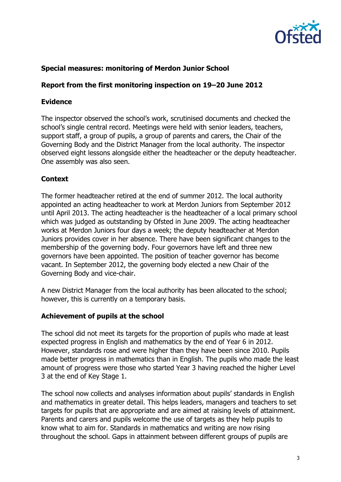

## **Special measures: monitoring of Merdon Junior School**

## **Report from the first monitoring inspection on 19–20 June 2012**

### **Evidence**

The inspector observed the school's work, scrutinised documents and checked the school's single central record. Meetings were held with senior leaders, teachers, support staff, a group of pupils, a group of parents and carers, the Chair of the Governing Body and the District Manager from the local authority. The inspector observed eight lessons alongside either the headteacher or the deputy headteacher. One assembly was also seen.

#### **Context**

The former headteacher retired at the end of summer 2012. The local authority appointed an acting headteacher to work at Merdon Juniors from September 2012 until April 2013. The acting headteacher is the headteacher of a local primary school which was judged as outstanding by Ofsted in June 2009. The acting headteacher works at Merdon Juniors four days a week; the deputy headteacher at Merdon Juniors provides cover in her absence. There have been significant changes to the membership of the governing body. Four governors have left and three new governors have been appointed. The position of teacher governor has become vacant. In September 2012, the governing body elected a new Chair of the Governing Body and vice-chair.

A new District Manager from the local authority has been allocated to the school; however, this is currently on a temporary basis.

#### **Achievement of pupils at the school**

The school did not meet its targets for the proportion of pupils who made at least expected progress in English and mathematics by the end of Year 6 in 2012. However, standards rose and were higher than they have been since 2010. Pupils made better progress in mathematics than in English. The pupils who made the least amount of progress were those who started Year 3 having reached the higher Level 3 at the end of Key Stage 1.

The school now collects and analyses information about pupils' standards in English and mathematics in greater detail. This helps leaders, managers and teachers to set targets for pupils that are appropriate and are aimed at raising levels of attainment. Parents and carers and pupils welcome the use of targets as they help pupils to know what to aim for. Standards in mathematics and writing are now rising throughout the school. Gaps in attainment between different groups of pupils are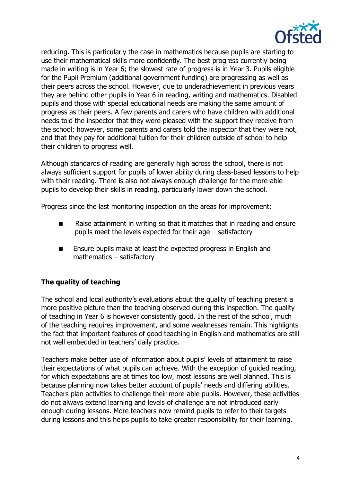

reducing. This is particularly the case in mathematics because pupils are starting to use their mathematical skills more confidently. The best progress currently being made in writing is in Year 6; the slowest rate of progress is in Year 3. Pupils eligible for the Pupil Premium (additional government funding) are progressing as well as their peers across the school. However, due to underachievement in previous years they are behind other pupils in Year 6 in reading, writing and mathematics. Disabled pupils and those with special educational needs are making the same amount of progress as their peers. A few parents and carers who have children with additional needs told the inspector that they were pleased with the support they receive from the school; however, some parents and carers told the inspector that they were not, and that they pay for additional tuition for their children outside of school to help their children to progress well.

Although standards of reading are generally high across the school, there is not always sufficient support for pupils of lower ability during class-based lessons to help with their reading. There is also not always enough challenge for the more-able pupils to develop their skills in reading, particularly lower down the school.

Progress since the last monitoring inspection on the areas for improvement:

- Raise attainment in writing so that it matches that in reading and ensure pupils meet the levels expected for their age – satisfactory
- Ensure pupils make at least the expected progress in English and mathematics – satisfactory

# **The quality of teaching**

The school and local authority's evaluations about the quality of teaching present a more positive picture than the teaching observed during this inspection. The quality of teaching in Year 6 is however consistently good. In the rest of the school, much of the teaching requires improvement, and some weaknesses remain. This highlights the fact that important features of good teaching in English and mathematics are still not well embedded in teachers' daily practice.

Teachers make better use of information about pupils' levels of attainment to raise their expectations of what pupils can achieve. With the exception of guided reading, for which expectations are at times too low, most lessons are well planned. This is because planning now takes better account of pupils' needs and differing abilities. Teachers plan activities to challenge their more-able pupils. However, these activities do not always extend learning and levels of challenge are not introduced early enough during lessons. More teachers now remind pupils to refer to their targets during lessons and this helps pupils to take greater responsibility for their learning.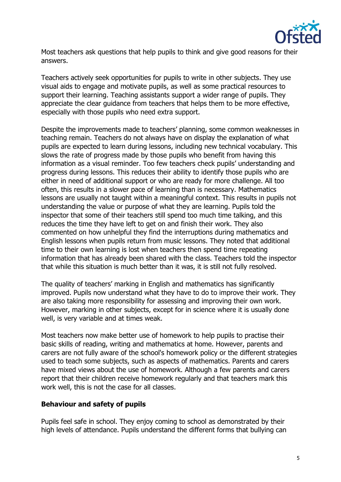

Most teachers ask questions that help pupils to think and give good reasons for their answers.

Teachers actively seek opportunities for pupils to write in other subjects. They use visual aids to engage and motivate pupils, as well as some practical resources to support their learning. Teaching assistants support a wider range of pupils. They appreciate the clear guidance from teachers that helps them to be more effective, especially with those pupils who need extra support.

Despite the improvements made to teachers' planning, some common weaknesses in teaching remain. Teachers do not always have on display the explanation of what pupils are expected to learn during lessons, including new technical vocabulary. This slows the rate of progress made by those pupils who benefit from having this information as a visual reminder. Too few teachers check pupils' understanding and progress during lessons. This reduces their ability to identify those pupils who are either in need of additional support or who are ready for more challenge. All too often, this results in a slower pace of learning than is necessary. Mathematics lessons are usually not taught within a meaningful context. This results in pupils not understanding the value or purpose of what they are learning. Pupils told the inspector that some of their teachers still spend too much time talking, and this reduces the time they have left to get on and finish their work. They also commented on how unhelpful they find the interruptions during mathematics and English lessons when pupils return from music lessons. They noted that additional time to their own learning is lost when teachers then spend time repeating information that has already been shared with the class. Teachers told the inspector that while this situation is much better than it was, it is still not fully resolved.

The quality of teachers' marking in English and mathematics has significantly improved. Pupils now understand what they have to do to improve their work. They are also taking more responsibility for assessing and improving their own work. However, marking in other subjects, except for in science where it is usually done well, is very variable and at times weak.

Most teachers now make better use of homework to help pupils to practise their basic skills of reading, writing and mathematics at home. However, parents and carers are not fully aware of the school's homework policy or the different strategies used to teach some subjects, such as aspects of mathematics. Parents and carers have mixed views about the use of homework. Although a few parents and carers report that their children receive homework regularly and that teachers mark this work well, this is not the case for all classes.

## **Behaviour and safety of pupils**

Pupils feel safe in school. They enjoy coming to school as demonstrated by their high levels of attendance. Pupils understand the different forms that bullying can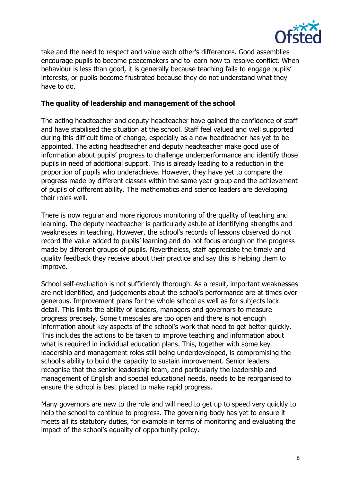

take and the need to respect and value each other's differences. Good assemblies encourage pupils to become peacemakers and to learn how to resolve conflict. When behaviour is less than good, it is generally because teaching fails to engage pupils' interests, or pupils become frustrated because they do not understand what they have to do.

## **The quality of leadership and management of the school**

The acting headteacher and deputy headteacher have gained the confidence of staff and have stabilised the situation at the school. Staff feel valued and well supported during this difficult time of change, especially as a new headteacher has yet to be appointed. The acting headteacher and deputy headteacher make good use of information about pupils' progress to challenge underperformance and identify those pupils in need of additional support. This is already leading to a reduction in the proportion of pupils who underachieve. However, they have yet to compare the progress made by different classes within the same year group and the achievement of pupils of different ability. The mathematics and science leaders are developing their roles well.

There is now regular and more rigorous monitoring of the quality of teaching and learning. The deputy headteacher is particularly astute at identifying strengths and weaknesses in teaching. However, the school's records of lessons observed do not record the value added to pupils' learning and do not focus enough on the progress made by different groups of pupils. Nevertheless, staff appreciate the timely and quality feedback they receive about their practice and say this is helping them to improve.

School self-evaluation is not sufficiently thorough. As a result, important weaknesses are not identified, and judgements about the school's performance are at times over generous. Improvement plans for the whole school as well as for subjects lack detail. This limits the ability of leaders, managers and governors to measure progress precisely. Some timescales are too open and there is not enough information about key aspects of the school's work that need to get better quickly. This includes the actions to be taken to improve teaching and information about what is required in individual education plans. This, together with some key leadership and management roles still being underdeveloped, is compromising the school's ability to build the capacity to sustain improvement. Senior leaders recognise that the senior leadership team, and particularly the leadership and management of English and special educational needs, needs to be reorganised to ensure the school is best placed to make rapid progress.

Many governors are new to the role and will need to get up to speed very quickly to help the school to continue to progress. The governing body has yet to ensure it meets all its statutory duties, for example in terms of monitoring and evaluating the impact of the school's equality of opportunity policy.